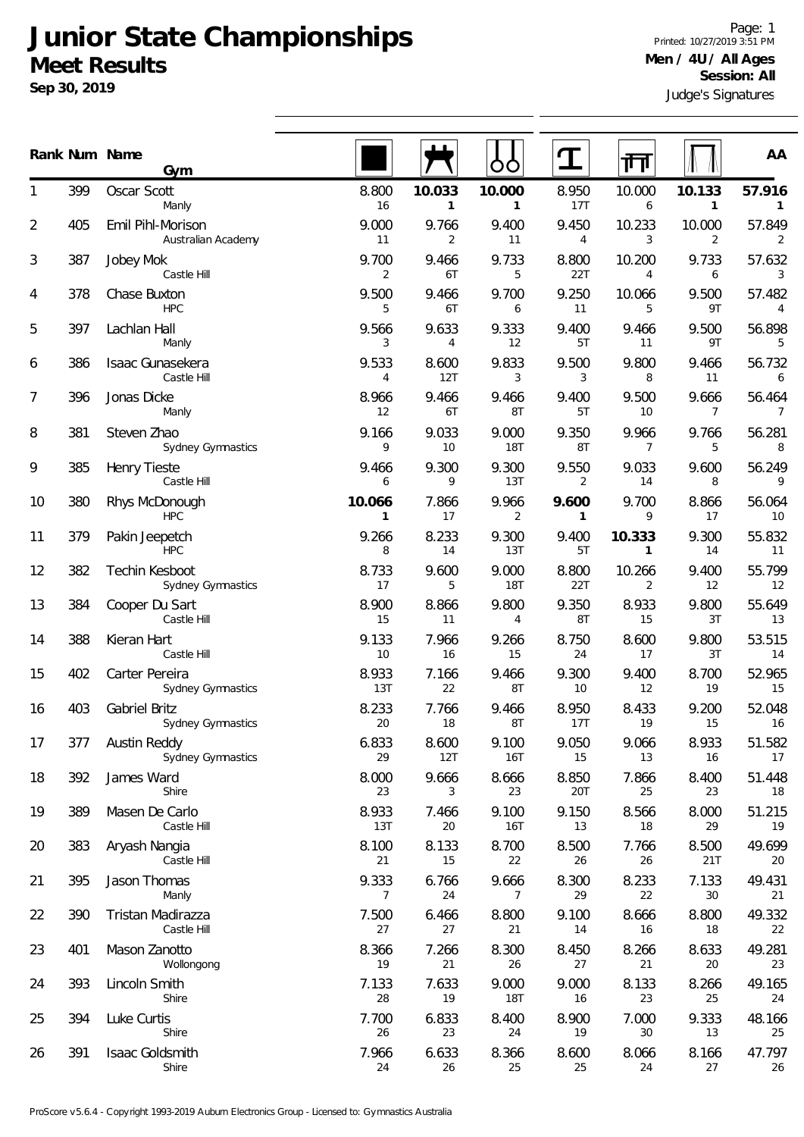## **Junior State Championships Meet Results**

**Sep 30, 2019**

Judge's Signatures Page: 1 Printed: 10/27/2019 3:51 PM **Men / 4U / All Ages Session: All**

|    |     | Rank Num Name<br>Gym                    |                        |                        |                         |                         | ╓┧                      |                         | AA                        |
|----|-----|-----------------------------------------|------------------------|------------------------|-------------------------|-------------------------|-------------------------|-------------------------|---------------------------|
|    | 399 | Oscar Scott<br>Manly                    | 8.800<br>16            | 10.033<br>$\mathbf{1}$ | 10.000<br>$\mathbf{1}$  | 8.950<br>17T            | 10.000<br>6             | 10.133<br>$\mathbf{1}$  | 57.916<br>$\sqrt{1}$      |
| 2  | 405 | Emil Pihl-Morison<br>Australian Academy | 9.000<br>11            | 9.766<br>2             | 9.400<br>11             | 9.450<br>4              | 10.233<br>3             | 10.000<br>2             | 57.849<br>$\overline{2}$  |
| 3  | 387 | Jobey Mok<br>Castle Hill                | 9.700<br>2             | 9.466<br>6T            | 9.733<br>5              | 8.800<br>22T            | 10.200<br>4             | 9.733<br>6              | 57.632<br>3               |
| 4  | 378 | Chase Buxton<br><b>HPC</b>              | 9.500<br>5             | 9.466<br>6T            | 9.700<br>6              | 9.250<br>11             | 10.066<br>5             | 9.500<br>9T             | 57.482<br>4               |
| 5  | 397 | Lachlan Hall<br>Manly                   | 9.566<br>3             | 9.633<br>4             | 9.333<br>12             | 9.400<br>5T             | 9.466<br>11             | 9.500<br>9T             | 56.898<br>$5\,$           |
| 6  | 386 | Isaac Gunasekera<br>Castle Hill         | 9.533<br>4             | 8.600<br>12T           | 9.833<br>3              | 9.500<br>3              | 9.800<br>8              | 9.466<br>11             | 56.732<br>$6\overline{6}$ |
| 7  | 396 | Jonas Dicke<br>Manly                    | 8.966<br>12            | 9.466<br>6T            | 9.466<br>8T             | 9.400<br>5T             | 9.500<br>10             | 9.666<br>$\overline{7}$ | 56.464<br>$\overline{7}$  |
| 8  | 381 | Steven Zhao<br>Sydney Gymnastics        | 9.166<br>9             | 9.033<br>10            | 9.000<br><b>18T</b>     | 9.350<br>8T             | 9.966<br>$\overline{7}$ | 9.766<br>5              | 56.281<br>8               |
| 9  | 385 | Henry Tieste<br>Castle Hill             | 9.466<br>6             | 9.300<br>9             | 9.300<br>13T            | 9.550<br>$\overline{2}$ | 9.033<br>14             | 9.600<br>8              | 56.249<br>9               |
| 10 | 380 | Rhys McDonough<br><b>HPC</b>            | 10.066<br>$\mathbf{1}$ | 7.866<br>17            | 9.966<br>$\overline{2}$ | 9.600<br>$\mathbf{1}$   | 9.700<br>9              | 8.866<br>17             | 56.064<br>10              |
| 11 | 379 | Pakin Jeepetch<br><b>HPC</b>            | 9.266<br>8             | 8.233<br>14            | 9.300<br>13T            | 9.400<br>5T             | 10.333<br>1             | 9.300<br>14             | 55.832<br>11              |
| 12 | 382 | Techin Kesboot<br>Sydney Gymnastics     | 8.733<br>17            | 9.600<br>5             | 9.000<br><b>18T</b>     | 8.800<br>22T            | 10.266<br>2             | 9.400<br>12             | 55.799<br>12              |
| 13 | 384 | Cooper Du Sart<br>Castle Hill           | 8.900<br>15            | 8.866<br>11            | 9.800<br>4              | 9.350<br>8T             | 8.933<br>15             | 9.800<br>3T             | 55.649<br>13              |
| 14 | 388 | Kieran Hart<br>Castle Hill              | 9.133<br>10            | 7.966<br>16            | 9.266<br>15             | 8.750<br>24             | 8.600<br>17             | 9.800<br>3T             | 53.515<br>14              |
| 15 | 402 | Carter Pereira<br>Sydney Gymnastics     | 8.933<br>13T           | 7.166<br>22            | 9.466<br>8T             | 9.300<br>10             | 9.400<br>12             | 8.700<br>19             | 52.965<br>15              |
| 16 | 403 | Gabriel Britz<br>Sydney Gymnastics      | 8.233<br>20            | 7.766<br>18            | 9.466<br>8T             | 8.950<br>17T            | 8.433<br>19             | 9.200<br>15             | 52.048<br>16              |
| 17 | 377 | Austin Reddy<br>Sydney Gymnastics       | 6.833<br>29            | 8.600<br>12T           | 9.100<br><b>16T</b>     | 9.050<br>15             | 9.066<br>13             | 8.933<br>16             | 51.582<br>17              |
| 18 | 392 | James Ward<br>Shire                     | 8.000<br>23            | 9.666<br>3             | 8.666<br>23             | 8.850<br>20T            | 7.866<br>25             | 8.400<br>23             | 51.448<br>18              |
| 19 | 389 | Masen De Carlo<br>Castle Hill           | 8.933<br>13T           | 7.466<br>20            | 9.100<br><b>16T</b>     | 9.150<br>13             | 8.566<br>18             | 8.000<br>29             | 51.215<br>19              |
| 20 | 383 | Aryash Nangia<br>Castle Hill            | 8.100<br>21            | 8.133<br>15            | 8.700<br>22             | 8.500<br>26             | 7.766<br>26             | 8.500<br>21T            | 49.699<br>20              |
| 21 | 395 | Jason Thomas<br>Manly                   | 9.333<br>7             | 6.766<br>24            | 9.666<br>7              | 8.300<br>29             | 8.233<br>22             | 7.133<br>30             | 49.431<br>21              |
| 22 | 390 | Tristan Madirazza<br>Castle Hill        | 7.500<br>27            | 6.466<br>27            | 8.800<br>21             | 9.100<br>14             | 8.666<br>16             | 8.800<br>18             | 49.332<br>22              |
| 23 | 401 | Mason Zanotto<br>Wollongong             | 8.366<br>19            | 7.266<br>21            | 8.300<br>26             | 8.450<br>27             | 8.266<br>21             | 8.633<br>20             | 49.281<br>23              |
| 24 | 393 | Lincoln Smith<br>Shire                  | 7.133<br>28            | 7.633<br>19            | 9.000<br><b>18T</b>     | 9.000<br>16             | 8.133<br>23             | 8.266<br>25             | 49.165<br>24              |
| 25 | 394 | Luke Curtis<br>Shire                    | 7.700<br>26            | 6.833<br>23            | 8.400<br>24             | 8.900<br>19             | 7.000<br>30             | 9.333<br>13             | 48.166<br>25              |
| 26 | 391 | Isaac Goldsmith<br>Shire                | 7.966<br>24            | 6.633<br>26            | 8.366<br>25             | 8.600<br>25             | 8.066<br>24             | 8.166<br>27             | 47.797<br>26              |